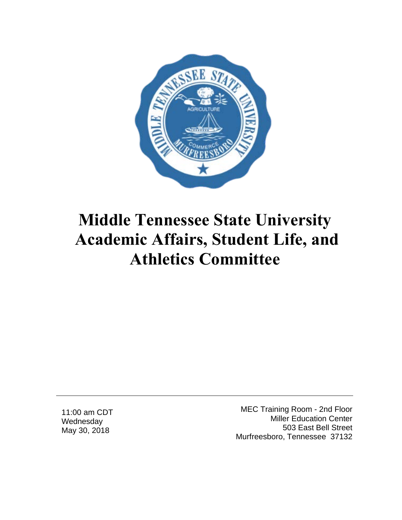

11:00 am CDT **Wednesday** May 30, 2018

MEC Training Room - 2nd Floor Miller Education Center 503 East Bell Street Murfreesboro, Tennessee 37132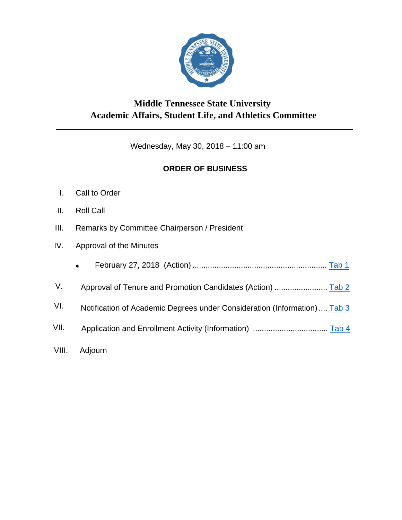

Wednesday, May 30, 2018 – 11:00 am

#### **ORDER OF BUSINESS**

- I. Call to Order
- II. Roll Call
- III. Remarks by Committee Chairperson / President
- IV. Approval of the Minutes
	- February 27, 2018 (Action) ............................................................. [Tab 1](#page-10-0)
- V. Approval of Tenure and Promotion Candidates (Action) ........................ [Tab 2](#page-20-0)
- VI. Notification of Academic Degrees under Consideration (Information).... [Tab](#page-24-0) 3
- VII. Application and Enrollment Activity (Information) .................................. Tab 4
- VIII. Adjourn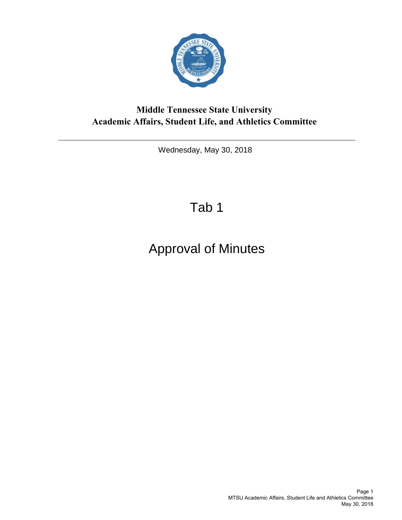

<span id="page-4-0"></span>Wednesday, May 30, 2018

## Tab 1

## Approval of Minutes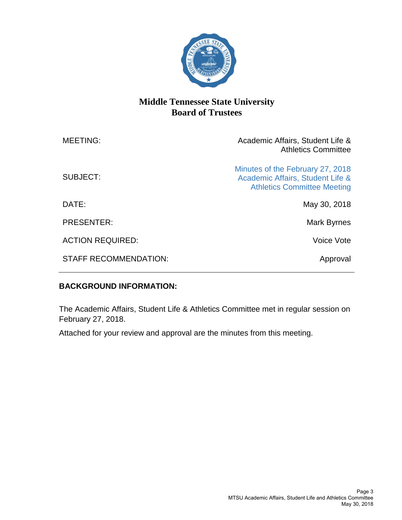

| <b>MEETING:</b>              | Academic Affairs, Student Life &<br><b>Athletics Committee</b>                                             |
|------------------------------|------------------------------------------------------------------------------------------------------------|
| SUBJECT:                     | Minutes of the February 27, 2018<br>Academic Affairs, Student Life &<br><b>Athletics Committee Meeting</b> |
| DATE:                        | May 30, 2018                                                                                               |
| <b>PRESENTER:</b>            | Mark Byrnes                                                                                                |
| <b>ACTION REQUIRED:</b>      | Voice Vote                                                                                                 |
| <b>STAFF RECOMMENDATION:</b> | Approval                                                                                                   |

#### **BACKGROUND INFORMATION:**

The Academic Affairs, Student Life & Athletics Committee met in regular session on February 27, 2018.

Attached for your review and approval are the minutes from this meeting.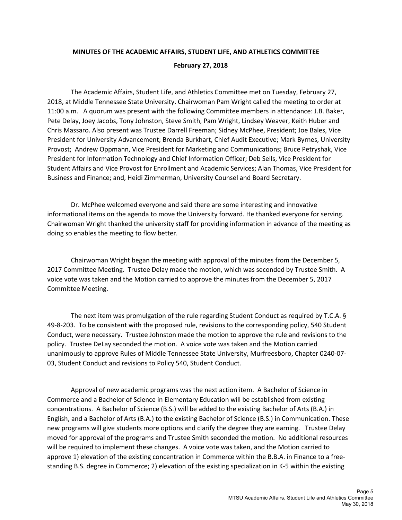### **MINUTES OF THE ACADEMIC AFFAIRS, STUDENT LIFE, AND ATHLETICS COMMITTEE February 27, 2018**

The Academic Affairs, Student Life, and Athletics Committee met on Tuesday, February 27, 2018, at Middle Tennessee State University. Chairwoman Pam Wright called the meeting to order at 11:00 a.m. A quorum was present with the following Committee members in attendance: J.B. Baker, Pete Delay, Joey Jacobs, Tony Johnston, Steve Smith, Pam Wright, Lindsey Weaver, Keith Huber and Chris Massaro. Also present was Trustee Darrell Freeman; Sidney McPhee, President; Joe Bales, Vice President for University Advancement; Brenda Burkhart, Chief Audit Executive; Mark Byrnes, University Provost; Andrew Oppmann, Vice President for Marketing and Communications; Bruce Petryshak, Vice President for Information Technology and Chief Information Officer; Deb Sells, Vice President for Student Affairs and Vice Provost for Enrollment and Academic Services; Alan Thomas, Vice President for Business and Finance; and, Heidi Zimmerman, University Counsel and Board Secretary.

Dr. McPhee welcomed everyone and said there are some interesting and innovative informational items on the agenda to move the University forward. He thanked everyone for serving. Chairwoman Wright thanked the university staff for providing information in advance of the meeting as doing so enables the meeting to flow better.

Chairwoman Wright began the meeting with approval of the minutes from the December 5, 2017 Committee Meeting. Trustee Delay made the motion, which was seconded by Trustee Smith. A voice vote was taken and the Motion carried to approve the minutes from the December 5, 2017 Committee Meeting.

The next item was promulgation of the rule regarding Student Conduct as required by T.C.A. § 49-8-203. To be consistent with the proposed rule, revisions to the corresponding policy, 540 Student Conduct, were necessary. Trustee Johnston made the motion to approve the rule and revisions to the policy. Trustee DeLay seconded the motion. A voice vote was taken and the Motion carried unanimously to approve Rules of Middle Tennessee State University, Murfreesboro, Chapter 0240-07- 03, Student Conduct and revisions to Policy 540, Student Conduct.

Approval of new academic programs was the next action item. A Bachelor of Science in Commerce and a Bachelor of Science in Elementary Education will be established from existing concentrations. A Bachelor of Science (B.S.) will be added to the existing Bachelor of Arts (B.A.) in English, and a Bachelor of Arts (B.A.) to the existing Bachelor of Science (B.S.) in Communication. These new programs will give students more options and clarify the degree they are earning. Trustee Delay moved for approval of the programs and Trustee Smith seconded the motion. No additional resources will be required to implement these changes. A voice vote was taken, and the Motion carried to approve 1) elevation of the existing concentration in Commerce within the B.B.A. in Finance to a freestanding B.S. degree in Commerce; 2) elevation of the existing specialization in K-5 within the existing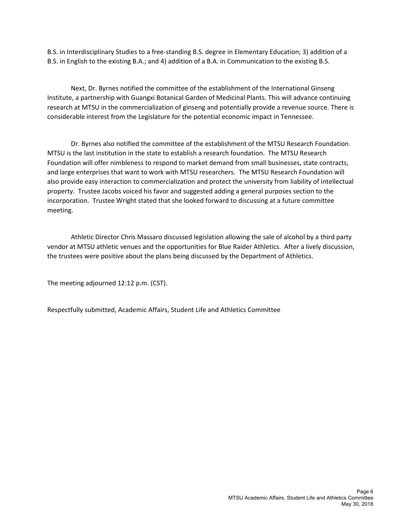B.S. in Interdisciplinary Studies to a free-standing B.S. degree in Elementary Education; 3) addition of a B.S. in English to the existing B.A.; and 4) addition of a B.A. in Communication to the existing B.S.

Next, Dr. Byrnes notified the committee of the establishment of the International Ginseng Institute, a partnership with Guangxi Botanical Garden of Medicinal Plants. This will advance continuing research at MTSU in the commercialization of ginseng and potentially provide a revenue source. There is considerable interest from the Legislature for the potential economic impact in Tennessee.

Dr. Byrnes also notified the committee of the establishment of the MTSU Research Foundation. MTSU is the last institution in the state to establish a research foundation. The MTSU Research Foundation will offer nimbleness to respond to market demand from small businesses, state contracts, and large enterprises that want to work with MTSU researchers. The MTSU Research Foundation will also provide easy interaction to commercialization and protect the university from liability of intellectual property. Trustee Jacobs voiced his favor and suggested adding a general purposes section to the incorporation. Trustee Wright stated that she looked forward to discussing at a future committee meeting.

Athletic Director Chris Massaro discussed legislation allowing the sale of alcohol by a third party vendor at MTSU athletic venues and the opportunities for Blue Raider Athletics. After a lively discussion, the trustees were positive about the plans being discussed by the Department of Athletics.

The meeting adjourned 12:12 p.m. (CST).

Respectfully submitted, Academic Affairs, Student Life and Athletics Committee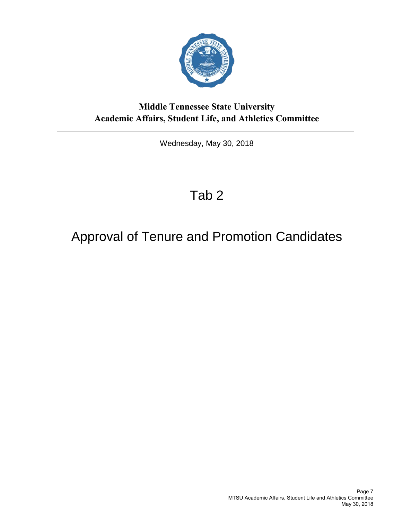

<span id="page-10-0"></span>Wednesday, May 30, 2018

## Tab 2

## Approval of Tenure and Promotion Candidates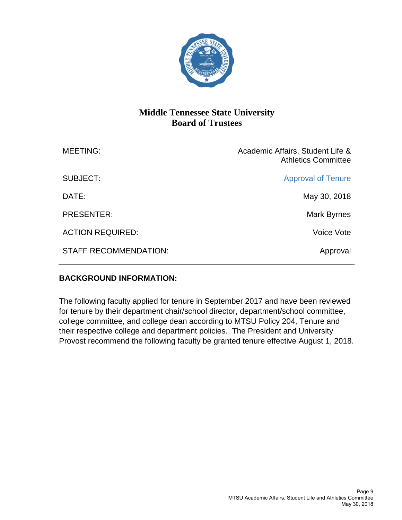

| <b>MEETING:</b>              | Academic Affairs, Student Life &<br><b>Athletics Committee</b> |
|------------------------------|----------------------------------------------------------------|
| <b>SUBJECT:</b>              | <b>Approval of Tenure</b>                                      |
| DATE:                        | May 30, 2018                                                   |
| <b>PRESENTER:</b>            | Mark Byrnes                                                    |
| <b>ACTION REQUIRED:</b>      | Voice Vote                                                     |
| <b>STAFF RECOMMENDATION:</b> | Approval                                                       |
|                              |                                                                |

#### **BACKGROUND INFORMATION:**

The following faculty applied for tenure in September 2017 and have been reviewed for tenure by their department chair/school director, department/school committee, college committee, and college dean according to MTSU Policy 204, Tenure and their respective college and department policies. The President and University Provost recommend the following faculty be granted tenure effective August 1, 2018.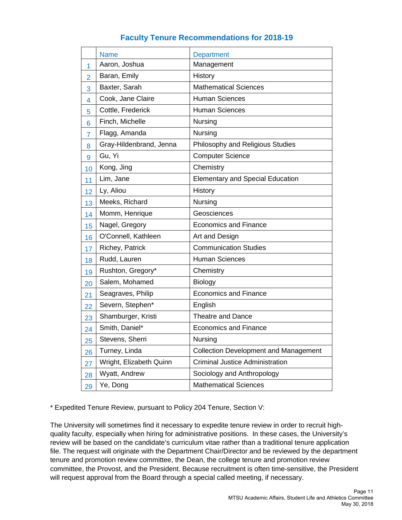#### **Faculty Tenure Recommendations for 2018-19**

|                | <b>Name</b>             | <b>Department</b>                            |
|----------------|-------------------------|----------------------------------------------|
| 1              | Aaron, Joshua           | Management                                   |
| $\overline{2}$ | Baran, Emily            | History                                      |
| 3              | Baxter, Sarah           | <b>Mathematical Sciences</b>                 |
| 4              | Cook, Jane Claire       | <b>Human Sciences</b>                        |
| 5              | Cottle, Frederick       | <b>Human Sciences</b>                        |
| 6              | Finch, Michelle         | Nursing                                      |
| 7              | Flagg, Amanda           | Nursing                                      |
| 8              | Gray-Hildenbrand, Jenna | Philosophy and Religious Studies             |
| 9              | Gu, Yi                  | <b>Computer Science</b>                      |
| 10             | Kong, Jing              | Chemistry                                    |
| 11             | Lim, Jane               | <b>Elementary and Special Education</b>      |
| 12             | Ly, Aliou               | History                                      |
| 13             | Meeks, Richard          | Nursing                                      |
| 14             | Momm, Henrique          | Geosciences                                  |
| 15             | Nagel, Gregory          | <b>Economics and Finance</b>                 |
| 16             | O'Connell, Kathleen     | Art and Design                               |
| 17             | Richey, Patrick         | <b>Communication Studies</b>                 |
| 18             | Rudd, Lauren            | <b>Human Sciences</b>                        |
| 19             | Rushton, Gregory*       | Chemistry                                    |
| 20             | Salem, Mohamed          | <b>Biology</b>                               |
| 21             | Seagraves, Philip       | <b>Economics and Finance</b>                 |
| 22             | Severn, Stephen*        | English                                      |
| 23             | Shamburger, Kristi      | Theatre and Dance                            |
| 24             | Smith, Daniel*          | <b>Economics and Finance</b>                 |
| 25             | Stevens, Sherri         | Nursing                                      |
| 26             | Turney, Linda           | <b>Collection Development and Management</b> |
| 27             | Wright, Elizabeth Quinn | <b>Criminal Justice Administration</b>       |
| 28             | Wyatt, Andrew           | Sociology and Anthropology                   |
| 29             | Ye, Dong                | <b>Mathematical Sciences</b>                 |

\* Expedited Tenure Review, pursuant to Policy 204 Tenure, Section V:

The University will sometimes find it necessary to expedite tenure review in order to recruit highquality faculty, especially when hiring for administrative positions. In these cases, the University's review will be based on the candidate's curriculum vitae rather than a traditional tenure application file. The request will originate with the Department Chair/Director and be reviewed by the department tenure and promotion review committee, the Dean, the college tenure and promotion review committee, the Provost, and the President. Because recruitment is often time-sensitive, the President will request approval from the Board through a special called meeting, if necessary.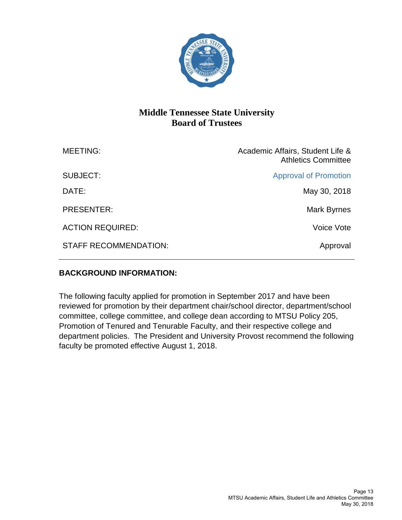

| <b>MEETING:</b>              | Academic Affairs, Student Life &<br><b>Athletics Committee</b> |
|------------------------------|----------------------------------------------------------------|
| SUBJECT:                     | <b>Approval of Promotion</b>                                   |
| DATE:                        | May 30, 2018                                                   |
| <b>PRESENTER:</b>            | Mark Byrnes                                                    |
| <b>ACTION REQUIRED:</b>      | Voice Vote                                                     |
| <b>STAFF RECOMMENDATION:</b> | Approval                                                       |

#### **BACKGROUND INFORMATION:**

The following faculty applied for promotion in September 2017 and have been reviewed for promotion by their department chair/school director, department/school committee, college committee, and college dean according to MTSU Policy 205, Promotion of Tenured and Tenurable Faculty, and their respective college and department policies. The President and University Provost recommend the following faculty be promoted effective August 1, 2018.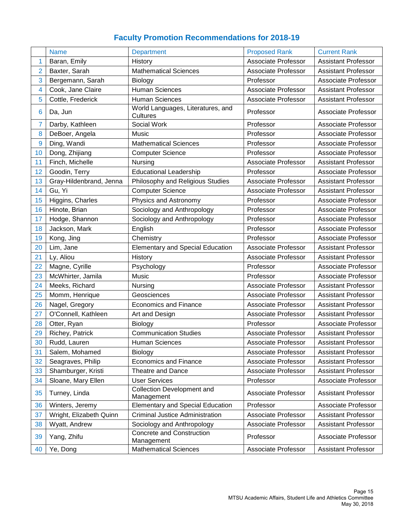## **Faculty Promotion Recommendations for 2018-19**

|    | <b>Name</b>             | <b>Department</b>                               | <b>Proposed Rank</b>       | <b>Current Rank</b>        |
|----|-------------------------|-------------------------------------------------|----------------------------|----------------------------|
| 1  | Baran, Emily            | History                                         | <b>Associate Professor</b> | <b>Assistant Professor</b> |
| 2  | Baxter, Sarah           | <b>Mathematical Sciences</b>                    | <b>Associate Professor</b> | <b>Assistant Professor</b> |
| 3  | Bergemann, Sarah        | Biology                                         | Professor                  | Associate Professor        |
| 4  | Cook, Jane Claire       | <b>Human Sciences</b>                           | <b>Associate Professor</b> | <b>Assistant Professor</b> |
| 5  | Cottle, Frederick       | <b>Human Sciences</b>                           | <b>Associate Professor</b> | <b>Assistant Professor</b> |
| 6  | Da, Jun                 | World Languages, Literatures, and<br>Cultures   | Professor                  | Associate Professor        |
| 7  | Darby, Kathleen         | Social Work                                     | Professor                  | Associate Professor        |
| 8  | DeBoer, Angela          | Music                                           | Professor                  | <b>Associate Professor</b> |
| 9  | Ding, Wandi             | <b>Mathematical Sciences</b>                    | Professor                  | <b>Associate Professor</b> |
| 10 | Dong, Zhijiang          | <b>Computer Science</b>                         | Professor                  | Associate Professor        |
| 11 | Finch, Michelle         | Nursing                                         | <b>Associate Professor</b> | <b>Assistant Professor</b> |
| 12 | Goodin, Terry           | <b>Educational Leadership</b>                   | Professor                  | Associate Professor        |
| 13 | Gray-Hildenbrand, Jenna | Philosophy and Religious Studies                | <b>Associate Professor</b> | <b>Assistant Professor</b> |
| 14 | Gu, Yi                  | <b>Computer Science</b>                         | <b>Associate Professor</b> | <b>Assistant Professor</b> |
| 15 | Higgins, Charles        | Physics and Astronomy                           | Professor                  | Associate Professor        |
| 16 | Hinote, Brian           | Sociology and Anthropology                      | Professor                  | <b>Associate Professor</b> |
| 17 | Hodge, Shannon          | Sociology and Anthropology                      | Professor                  | Associate Professor        |
| 18 | Jackson, Mark           | English                                         | Professor                  | Associate Professor        |
| 19 | Kong, Jing              | Chemistry                                       | Professor                  | Associate Professor        |
| 20 | Lim, Jane               | <b>Elementary and Special Education</b>         | <b>Associate Professor</b> | <b>Assistant Professor</b> |
| 21 | Ly, Aliou               | History                                         | Associate Professor        | <b>Assistant Professor</b> |
| 22 | Magne, Cyrille          | Psychology                                      | Professor                  | Associate Professor        |
| 23 | McWhirter, Jamila       | Music                                           | Professor                  | <b>Associate Professor</b> |
| 24 | Meeks, Richard          | Nursing                                         | <b>Associate Professor</b> | <b>Assistant Professor</b> |
| 25 | Momm, Henrique          | Geosciences                                     | Associate Professor        | <b>Assistant Professor</b> |
| 26 | Nagel, Gregory          | <b>Economics and Finance</b>                    | <b>Associate Professor</b> | <b>Assistant Professor</b> |
| 27 | O'Connell, Kathleen     | Art and Design                                  | <b>Associate Professor</b> | <b>Assistant Professor</b> |
| 28 | Otter, Ryan             | Biology                                         | Professor                  | <b>Associate Professor</b> |
| 29 | Richey, Patrick         | <b>Communication Studies</b>                    | <b>Associate Professor</b> | <b>Assistant Professor</b> |
| 30 | Rudd, Lauren            | <b>Human Sciences</b>                           | Associate Professor        | <b>Assistant Professor</b> |
| 31 | Salem, Mohamed          | Biology                                         | Associate Professor        | <b>Assistant Professor</b> |
| 32 | Seagraves, Philip       | <b>Economics and Finance</b>                    | <b>Associate Professor</b> | <b>Assistant Professor</b> |
| 33 | Shamburger, Kristi      | <b>Theatre and Dance</b>                        | Associate Professor        | <b>Assistant Professor</b> |
| 34 | Sloane, Mary Ellen      | <b>User Services</b>                            | Professor                  | Associate Professor        |
| 35 | Turney, Linda           | <b>Collection Development and</b><br>Management | Associate Professor        | <b>Assistant Professor</b> |
| 36 | Winters, Jeremy         | <b>Elementary and Special Education</b>         | Professor                  | Associate Professor        |
| 37 | Wright, Elizabeth Quinn | <b>Criminal Justice Administration</b>          | Associate Professor        | <b>Assistant Professor</b> |
| 38 | Wyatt, Andrew           | Sociology and Anthropology                      | <b>Associate Professor</b> | <b>Assistant Professor</b> |
| 39 | Yang, Zhifu             | <b>Concrete and Construction</b><br>Management  | Professor                  | Associate Professor        |
| 40 | Ye, Dong                | <b>Mathematical Sciences</b>                    | Associate Professor        | <b>Assistant Professor</b> |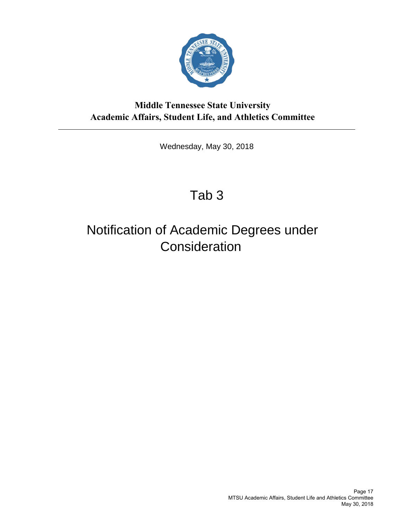

Wednesday, May 30, 2018

## Tab 3

## <span id="page-20-0"></span>Notification of Academic Degrees under **Consideration**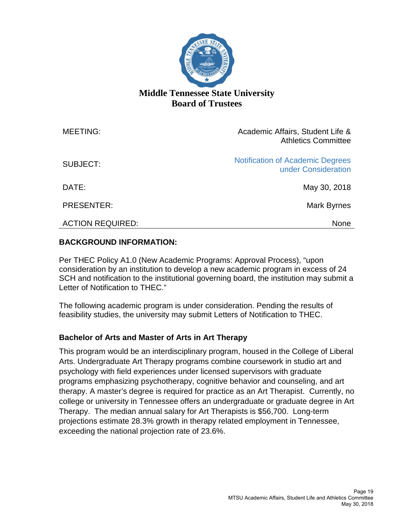

| <b>MEETING:</b>         | Academic Affairs, Student Life &<br><b>Athletics Committee</b> |
|-------------------------|----------------------------------------------------------------|
| <b>SUBJECT:</b>         | <b>Notification of Academic Degrees</b><br>under Consideration |
| DATE:                   | May 30, 2018                                                   |
| <b>PRESENTER:</b>       | Mark Byrnes                                                    |
| <b>ACTION REQUIRED:</b> | <b>None</b>                                                    |

#### **BACKGROUND INFORMATION:**

Per THEC Policy A1.0 (New Academic Programs: Approval Process), "upon consideration by an institution to develop a new academic program in excess of 24 SCH and notification to the institutional governing board, the institution may submit a Letter of Notification to THEC."

The following academic program is under consideration. Pending the results of feasibility studies, the university may submit Letters of Notification to THEC.

#### **Bachelor of Arts and Master of Arts in Art Therapy**

This program would be an interdisciplinary program, housed in the College of Liberal Arts. Undergraduate Art Therapy programs combine coursework in studio art and psychology with field experiences under licensed supervisors with graduate programs emphasizing psychotherapy, cognitive behavior and counseling, and art therapy. A master's degree is required for practice as an Art Therapist. Currently, no college or university in Tennessee offers an undergraduate or graduate degree in Art Therapy. The median annual salary for Art Therapists is \$56,700. Long-term projections estimate 28.3% growth in therapy related employment in Tennessee, exceeding the national projection rate of 23.6%.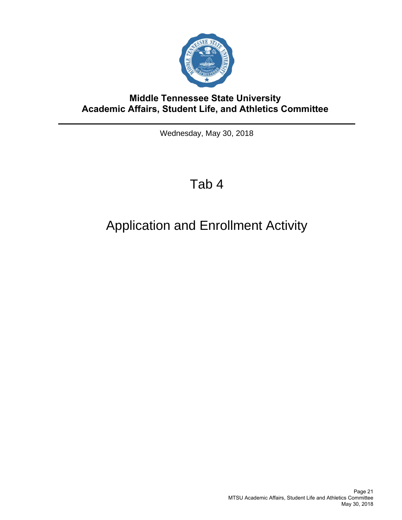

Wednesday, May 30, 2018

## Tab 4

## <span id="page-24-0"></span>Application and Enrollment Activity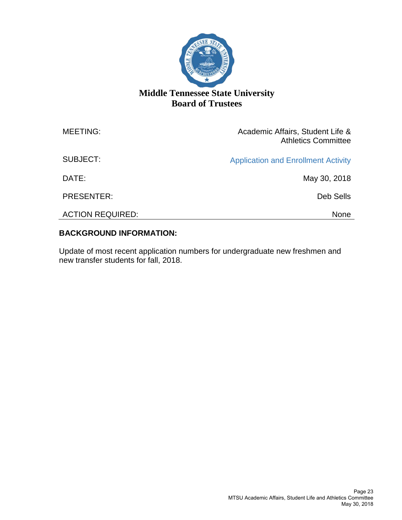

| <b>MEETING:</b>         | Academic Affairs, Student Life &<br><b>Athletics Committee</b> |
|-------------------------|----------------------------------------------------------------|
| SUBJECT:                | <b>Application and Enrollment Activity</b>                     |
| DATE:                   | May 30, 2018                                                   |
| <b>PRESENTER:</b>       | Deb Sells                                                      |
| <b>ACTION REQUIRED:</b> | None                                                           |

#### **BACKGROUND INFORMATION:**

Update of most recent application numbers for undergraduate new freshmen and new transfer students for fall, 2018.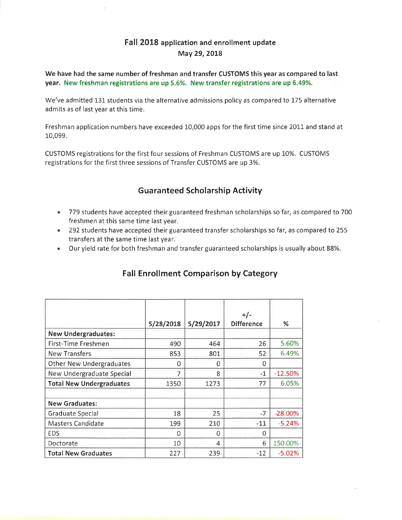#### Fall 2018 application and enrollment update May 29, 2018

We have had the same number of freshman and transfer CUSTOMS this year as compared to last year. New freshman registrations are up 5.6%. New transfer registrations are up 6.49%.

We've admitted 131 students via the alternative admissions policy as compared to 175 alternative admits as of last year at this time.

Freshman application numbers have exceeded 10,000 apps for the first time since 2011 and stand at 10,099.

CUSTOMS registrations for the first four sessions of Freshman CUSTOMS are up 10%. CUSTOMS registrations for the first three sessions of Transfer CUSTOMS are up 3%.

#### **Guaranteed Scholarship Activity**

- . 779 students have accepted their guaranteed freshman scholarships so far, as compared to 700 freshmen at this same time last year.
- 292 students have accepted their guaranteed transfer scholarships so far, as compared to 255 transfers at the same time last year.
- Our yield rate for both freshman and transfer guaranteed scholarships is usually about 88%.

|                                 | 5/28/2018 | 5/29/2017 | $+/-$<br><b>Difference</b> | %         |
|---------------------------------|-----------|-----------|----------------------------|-----------|
| <b>New Undergraduates:</b>      |           |           |                            |           |
| First-Time Freshmen             | 490       | 464       | 26                         | 5.60%     |
| <b>New Transfers</b>            | 853       | 801       | 52                         | 6.49%     |
| <b>Other New Undergraduates</b> | 0         | 0         | 0                          |           |
| New Undergraduate Special       | 7         | 8         | $-1$                       | $-12.50%$ |
| <b>Total New Undergraduates</b> | 1350      | 1273      | 77                         | 6.05%     |
|                                 |           |           |                            |           |
| <b>New Graduates:</b>           |           |           |                            |           |
| <b>Graduate Special</b>         | 18        | 25        | -7                         | $-28.00%$ |
| Masters Candidate               | 199       | 210       | $-11$                      | $-5.24%$  |
| <b>EDS</b>                      | O         | 0         | 0                          |           |
| Doctorate                       | 10        | 4         | 6                          | 150.00%   |
| <b>Total New Graduates</b>      | 227       | 239       | -12                        | $-5.02%$  |

### **Fall Enrollment Comparison by Category**